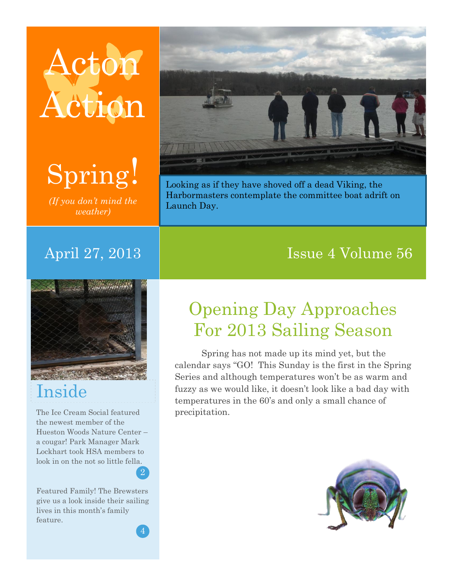# Acton Action



*(If you don't mind the weather)*



Looking as if they have shoved off a dead Viking, the Harbormasters contemplate the committee boat adrift on Launch Day.

#### April 27, 2013 and Issue 4 Volume 56

## Inside

The Ice Cream Social featured the newest member of the Hueston Woods Nature Center – a cougar! Park Manager Mark Lockhart took HSA members to look in on the not so little fella.

Featured Family! The Brewsters give us a look inside their sailing lives in this month's family feature.

2

5

## Opening Day Approaches For 2013 Sailing Season

Spring has not made up its mind yet, but the calendar says "GO! This Sunday is the first in the Spring Series and although temperatures won't be as warm and fuzzy as we would like, it doesn't look like a bad day with temperatures in the 60's and only a small chance of precipitation.

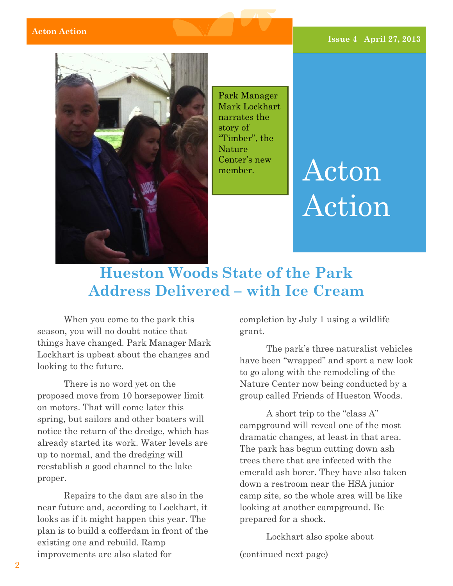

Park Manager Mark Lockhart narrates the story of "Timber", the Nature Center's new member.

## Acton Action

#### **Hueston Woods State of the Park Address Delivered – with Ice Cream**

When you come to the park this season, you will no doubt notice that things have changed. Park Manager Mark Lockhart is upbeat about the changes and looking to the future.

There is no word yet on the proposed move from 10 horsepower limit on motors. That will come later this spring, but sailors and other boaters will notice the return of the dredge, which has already started its work. Water levels are up to normal, and the dredging will reestablish a good channel to the lake proper.

Repairs to the dam are also in the near future and, according to Lockhart, it looks as if it might happen this year. The plan is to build a cofferdam in front of the existing one and rebuild. Ramp improvements are also slated for

completion by July 1 using a wildlife grant.

The park's three naturalist vehicles have been "wrapped" and sport a new look to go along with the remodeling of the Nature Center now being conducted by a group called Friends of Hueston Woods.

A short trip to the "class A" campground will reveal one of the most dramatic changes, at least in that area. The park has begun cutting down ash trees there that are infected with the emerald ash borer. They have also taken down a restroom near the HSA junior camp site, so the whole area will be like looking at another campground. Be prepared for a shock.

Lockhart also spoke about (continued next page)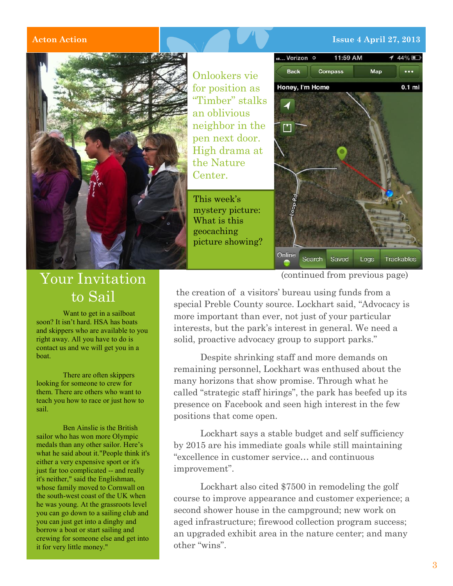#### **Acton Action Issue 4 April 27, 2013**



#### Your Invitation to Sail

Want to get in a sailboat soon? It isn't hard. HSA has boats and skippers who are available to you right away. All you have to do is contact us and we will get you in a boat.

There are often skippers looking for someone to crew for them. There are others who want to teach you how to race or just how to sail.

Ben Ainslie is the British sailor who has won more Olympic medals than any other sailor. Here's what he said about it."People think it's either a very expensive sport or it's just far too complicated -- and really it's neither," said the Englishman, whose family moved to Cornwall on the south-west coast of the UK when he was young. At the grassroots level you can go down to a sailing club and you can just get into a dinghy and borrow a boat or start sailing and crewing for someone else and get into it for very little money."

Onlookers vie for position as "Timber" stalks an oblivious neighbor in the pen next door. High drama at the Nature Center.

This week's mystery picture: What is this geocaching picture showing?



(continued from previous page)

the creation of a visitors' bureau using funds from a special Preble County source. Lockhart said, "Advocacy is more important than ever, not just of your particular interests, but the park's interest in general. We need a solid, proactive advocacy group to support parks."

Despite shrinking staff and more demands on remaining personnel, Lockhart was enthused about the many horizons that show promise. Through what he called "strategic staff hirings", the park has beefed up its presence on Facebook and seen high interest in the few positions that come open.

Lockhart says a stable budget and self sufficiency by 2015 are his immediate goals while still maintaining "excellence in customer service… and continuous improvement".

Lockhart also cited \$7500 in remodeling the golf course to improve appearance and customer experience; a second shower house in the campground; new work on aged infrastructure; firewood collection program success; an upgraded exhibit area in the nature center; and many other "wins".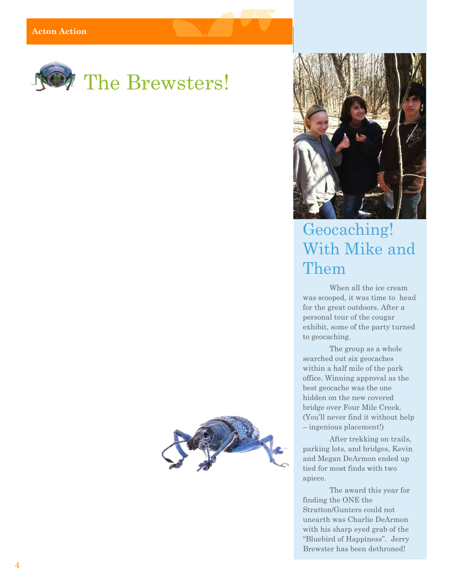



### Geocaching! With Mike and Them

When all the ice cream was scooped, it was time to head for the great outdoors. After a personal tour of the cougar exhibit, some of the party turned to geocaching.

The group as a whole searched out six geocaches within a half mile of the park office. Winning approval as the best geocache was the one hidden on the new covered bridge over Four Mile Creek. (You'll never find it without help – ingenious placement!)

After trekking on trails, parking lots, and bridges, Kevin and Megan DeArmon ended up tied for most finds with two apiece.

The award this year for finding the ONE the Stratton/Gunters could not unearth was Charlie DeArmon with his sharp eyed grab of the "Bluebird of Happiness". Jerry Brewster has been dethroned!

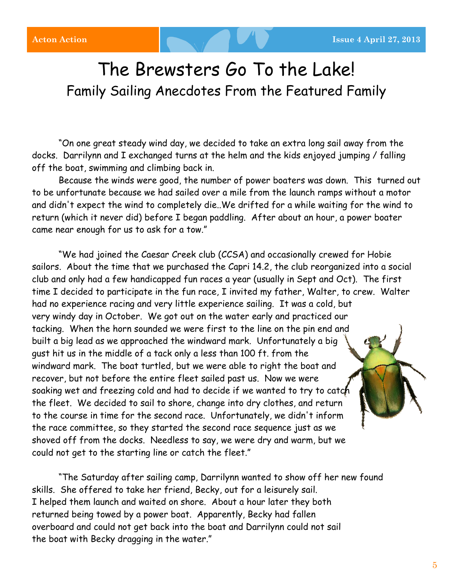### The Brewsters Go To the Lake! Family Sailing Anecdotes From the Featured Family

"On one great steady wind day, we decided to take an extra long sail away from the docks. Darrilynn and I exchanged turns at the helm and the kids enjoyed jumping / falling off the boat, swimming and climbing back in.

Because the winds were good, the number of power boaters was down. This turned out to be unfortunate because we had sailed over a mile from the launch ramps without a motor and didn't expect the wind to completely die..We drifted for a while waiting for the wind to return (which it never did) before I began paddling. After about an hour, a power boater came near enough for us to ask for a tow."

"We had joined the Caesar Creek club (CCSA) and occasionally crewed for Hobie sailors. About the time that we purchased the Capri 14.2, the club reorganized into a social club and only had a few handicapped fun races a year (usually in Sept and Oct). The first time I decided to participate in the fun race, I invited my father, Walter, to crew. Walter had no experience racing and very little experience sailing. It was a cold, but very windy day in October. We got out on the water early and practiced our tacking. When the horn sounded we were first to the line on the pin end and built a big lead as we approached the windward mark. Unfortunately a big gust hit us in the middle of a tack only a less than 100 ft. from the windward mark. The boat turtled, but we were able to right the boat and recover, but not before the entire fleet sailed past us. Now we were soaking wet and freezing cold and had to decide if we wanted to try to catch the fleet. We decided to sail to shore, change into dry clothes, and return to the course in time for the second race. Unfortunately, we didn't inform the race committee, so they started the second race sequence just as we shoved off from the docks. Needless to say, we were dry and warm, but we could not get to the starting line or catch the fleet."

"The Saturday after sailing camp, Darrilynn wanted to show off her new found skills. She offered to take her friend, Becky, out for a leisurely sail. I helped them launch and waited on shore. About a hour later they both returned being towed by a power boat. Apparently, Becky had fallen overboard and could not get back into the boat and Darrilynn could not sail the boat with Becky dragging in the water."